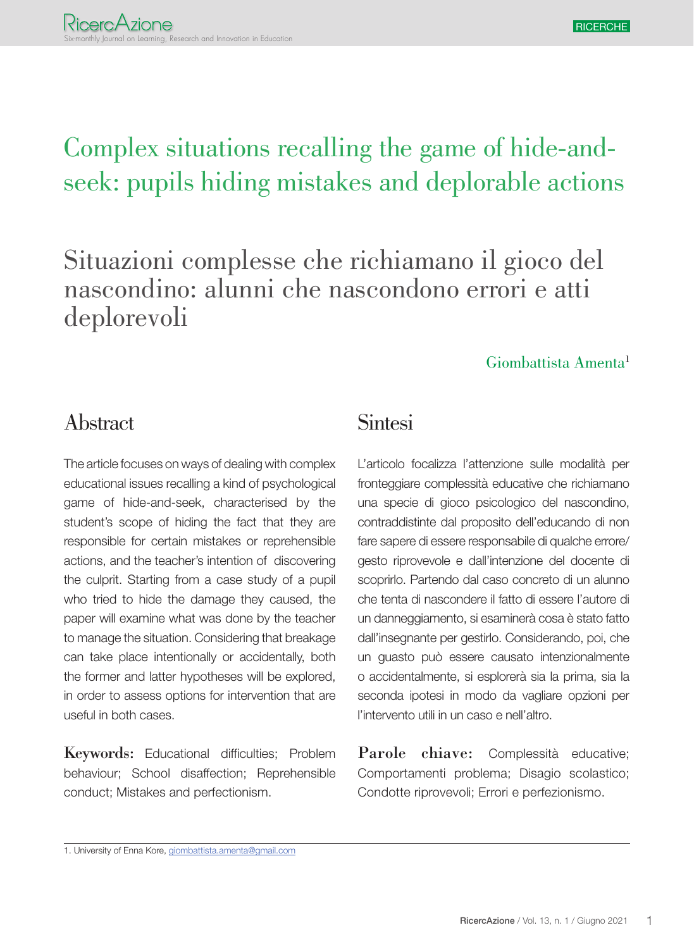# Complex situations recalling the game of hide-andseek: pupils hiding mistakes and deplorable actions

Situazioni complesse che richiamano il gioco del nascondino: alunni che nascondono errori e atti deplorevoli

#### Giombattista Amenta1

#### Abstract

The article focuses on ways of dealing with complex educational issues recalling a kind of psychological game of hide-and-seek, characterised by the student's scope of hiding the fact that they are responsible for certain mistakes or reprehensible actions, and the teacher's intention of discovering the culprit. Starting from a case study of a pupil who tried to hide the damage they caused, the paper will examine what was done by the teacher to manage the situation. Considering that breakage can take place intentionally or accidentally, both the former and latter hypotheses will be explored, in order to assess options for intervention that are useful in both cases.

Keywords: Educational difficulties; Problem behaviour; School disaffection; Reprehensible conduct; Mistakes and perfectionism.

#### **Sintesi**

L'articolo focalizza l'attenzione sulle modalità per fronteggiare complessità educative che richiamano una specie di gioco psicologico del nascondino, contraddistinte dal proposito dell'educando di non fare sapere di essere responsabile di qualche errore/ gesto riprovevole e dall'intenzione del docente di scoprirlo. Partendo dal caso concreto di un alunno che tenta di nascondere il fatto di essere l'autore di un danneggiamento, si esaminerà cosa è stato fatto dall'insegnante per gestirlo. Considerando, poi, che un guasto può essere causato intenzionalmente o accidentalmente, si esplorerà sia la prima, sia la seconda ipotesi in modo da vagliare opzioni per l'intervento utili in un caso e nell'altro.

Parole chiave: Complessità educative; Comportamenti problema; Disagio scolastico; Condotte riprovevoli; Errori e perfezionismo.

<sup>1.</sup> University of Enna Kore, giombattista.amenta@gmail.com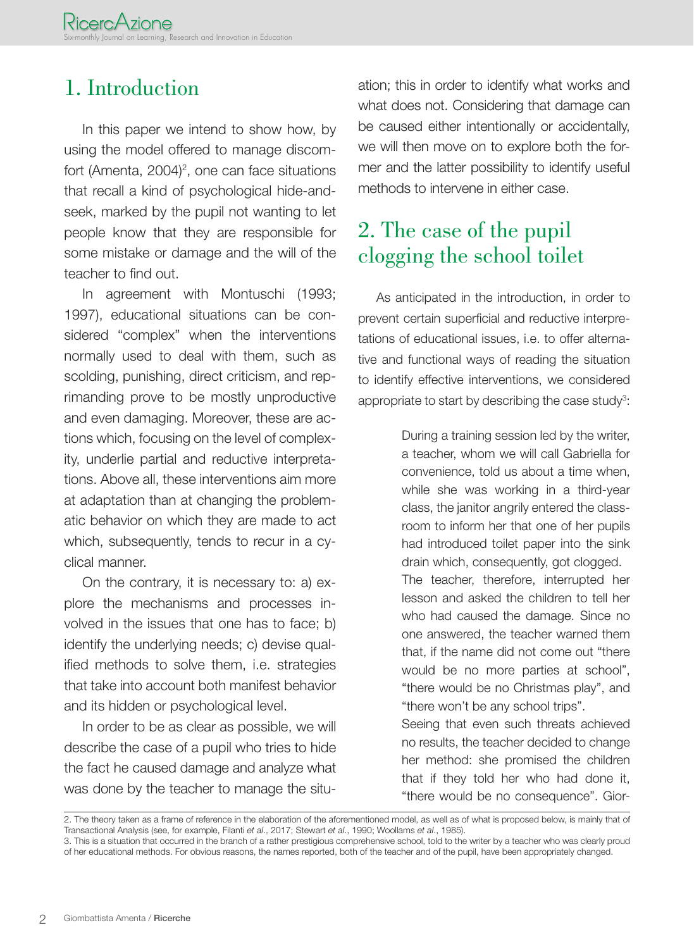### 1. Introduction

In this paper we intend to show how, by using the model offered to manage discomfort (Amenta, 2004)<sup>2</sup>, one can face situations that recall a kind of psychological hide-andseek, marked by the pupil not wanting to let people know that they are responsible for some mistake or damage and the will of the teacher to find out.

In agreement with Montuschi (1993; 1997), educational situations can be considered "complex" when the interventions normally used to deal with them, such as scolding, punishing, direct criticism, and reprimanding prove to be mostly unproductive and even damaging. Moreover, these are actions which, focusing on the level of complexity, underlie partial and reductive interpretations. Above all, these interventions aim more at adaptation than at changing the problematic behavior on which they are made to act which, subsequently, tends to recur in a cyclical manner.

On the contrary, it is necessary to: a) explore the mechanisms and processes involved in the issues that one has to face; b) identify the underlying needs; c) devise qualified methods to solve them, i.e. strategies that take into account both manifest behavior and its hidden or psychological level.

In order to be as clear as possible, we will describe the case of a pupil who tries to hide the fact he caused damage and analyze what was done by the teacher to manage the situation; this in order to identify what works and what does not. Considering that damage can be caused either intentionally or accidentally, we will then move on to explore both the former and the latter possibility to identify useful methods to intervene in either case.

### 2. The case of the pupil clogging the school toilet

As anticipated in the introduction, in order to prevent certain superficial and reductive interpretations of educational issues, i.e. to offer alternative and functional ways of reading the situation to identify effective interventions, we considered appropriate to start by describing the case study $3$ :

> During a training session led by the writer, a teacher, whom we will call Gabriella for convenience, told us about a time when, while she was working in a third-year class, the janitor angrily entered the classroom to inform her that one of her pupils had introduced toilet paper into the sink drain which, consequently, got clogged. The teacher, therefore, interrupted her lesson and asked the children to tell her who had caused the damage. Since no one answered, the teacher warned them that, if the name did not come out "there would be no more parties at school", "there would be no Christmas play", and "there won't be any school trips".

> Seeing that even such threats achieved no results, the teacher decided to change her method: she promised the children that if they told her who had done it, "there would be no consequence". Gior-

<sup>2.</sup> The theory taken as a frame of reference in the elaboration of the aforementioned model, as well as of what is proposed below, is mainly that of Transactional Analysis (see, for example, Filanti *et al*., 2017; Stewart *et al*., 1990; Woollams *et al*., 1985).

<sup>3.</sup> This is a situation that occurred in the branch of a rather prestigious comprehensive school, told to the writer by a teacher who was clearly proud of her educational methods. For obvious reasons, the names reported, both of the teacher and of the pupil, have been appropriately changed.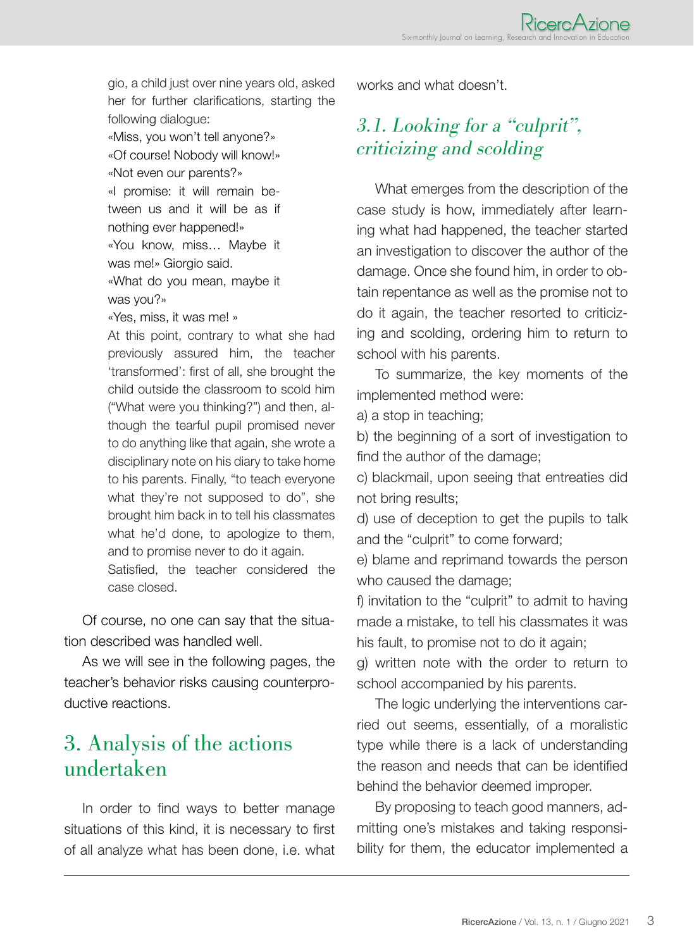gio, a child just over nine years old, asked her for further clarifications, starting the following dialogue:

«Miss, you won't tell anyone?» «Of course! Nobody will know!» «Not even our parents?» «I promise: it will remain between us and it will be as if nothing ever happened!» «You know, miss… Maybe it was me!» Giorgio said. «What do you mean, maybe it

was you?»

«Yes, miss, it was me! »

At this point, contrary to what she had previously assured him, the teacher 'transformed': first of all, she brought the child outside the classroom to scold him ("What were you thinking?") and then, although the tearful pupil promised never to do anything like that again, she wrote a disciplinary note on his diary to take home to his parents. Finally, "to teach everyone what they're not supposed to do", she brought him back in to tell his classmates what he'd done, to apologize to them, and to promise never to do it again.

Satisfied, the teacher considered the case closed.

Of course, no one can say that the situation described was handled well.

As we will see in the following pages, the teacher's behavior risks causing counterproductive reactions.

### 3. Analysis of the actions undertaken

In order to find ways to better manage situations of this kind, it is necessary to first of all analyze what has been done, i.e. what works and what doesn't.

### 3.1. Looking for a "culprit", criticizing and scolding

What emerges from the description of the case study is how, immediately after learning what had happened, the teacher started an investigation to discover the author of the damage. Once she found him, in order to obtain repentance as well as the promise not to do it again, the teacher resorted to criticizing and scolding, ordering him to return to school with his parents.

To summarize, the key moments of the implemented method were:

a) a stop in teaching;

b) the beginning of a sort of investigation to find the author of the damage;

c) blackmail, upon seeing that entreaties did not bring results;

d) use of deception to get the pupils to talk and the "culprit" to come forward;

e) blame and reprimand towards the person who caused the damage;

f) invitation to the "culprit" to admit to having made a mistake, to tell his classmates it was his fault, to promise not to do it again;

g) written note with the order to return to school accompanied by his parents.

The logic underlying the interventions carried out seems, essentially, of a moralistic type while there is a lack of understanding the reason and needs that can be identified behind the behavior deemed improper.

By proposing to teach good manners, admitting one's mistakes and taking responsibility for them, the educator implemented a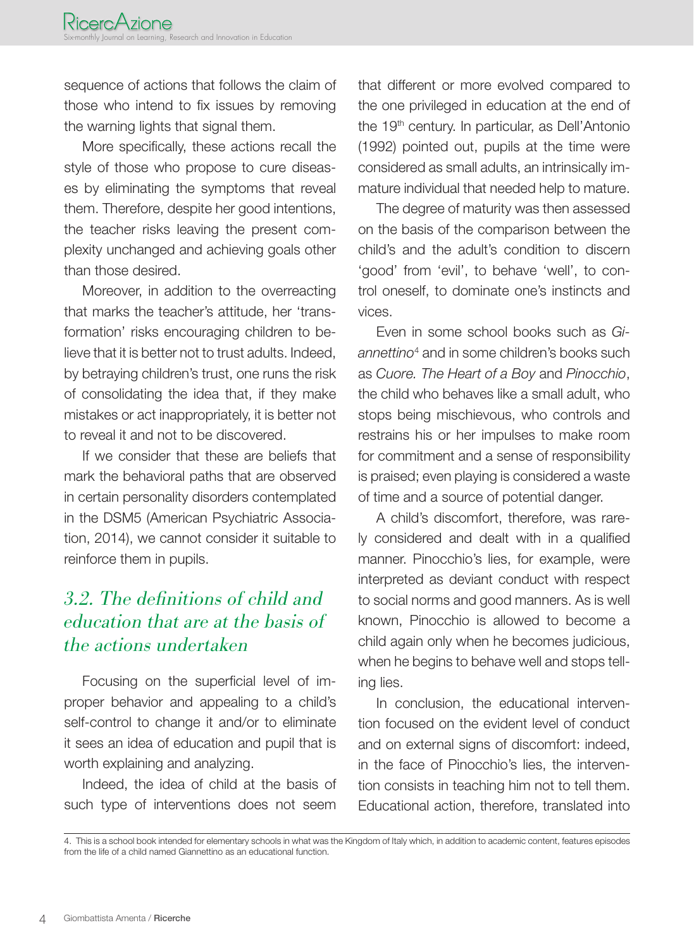sequence of actions that follows the claim of those who intend to fix issues by removing the warning lights that signal them.

More specifically, these actions recall the style of those who propose to cure diseases by eliminating the symptoms that reveal them. Therefore, despite her good intentions, the teacher risks leaving the present complexity unchanged and achieving goals other than those desired.

Moreover, in addition to the overreacting that marks the teacher's attitude, her 'transformation' risks encouraging children to believe that it is better not to trust adults. Indeed, by betraying children's trust, one runs the risk of consolidating the idea that, if they make mistakes or act inappropriately, it is better not to reveal it and not to be discovered.

If we consider that these are beliefs that mark the behavioral paths that are observed in certain personality disorders contemplated in the DSM5 (American Psychiatric Association, 2014), we cannot consider it suitable to reinforce them in pupils.

#### 3.2. The definitions of child and education that are at the basis of the actions undertaken

Focusing on the superficial level of improper behavior and appealing to a child's self-control to change it and/or to eliminate it sees an idea of education and pupil that is worth explaining and analyzing.

Indeed, the idea of child at the basis of such type of interventions does not seem that different or more evolved compared to the one privileged in education at the end of the 19<sup>th</sup> century. In particular, as Dell'Antonio (1992) pointed out, pupils at the time were considered as small adults, an intrinsically immature individual that needed help to mature.

The degree of maturity was then assessed on the basis of the comparison between the child's and the adult's condition to discern 'good' from 'evil', to behave 'well', to control oneself, to dominate one's instincts and vices.

Even in some school books such as *Gi*annettino<sup>4</sup> and in some children's books such as *Cuore. The Heart of a Boy* and *Pinocchio*, the child who behaves like a small adult, who stops being mischievous, who controls and restrains his or her impulses to make room for commitment and a sense of responsibility is praised; even playing is considered a waste of time and a source of potential danger.

A child's discomfort, therefore, was rarely considered and dealt with in a qualified manner. Pinocchio's lies, for example, were interpreted as deviant conduct with respect to social norms and good manners. As is well known, Pinocchio is allowed to become a child again only when he becomes judicious, when he begins to behave well and stops telling lies.

In conclusion, the educational intervention focused on the evident level of conduct and on external signs of discomfort: indeed, in the face of Pinocchio's lies, the intervention consists in teaching him not to tell them. Educational action, therefore, translated into

<sup>4.</sup> This is a school book intended for elementary schools in what was the Kingdom of Italy which, in addition to academic content, features episodes from the life of a child named Giannettino as an educational function.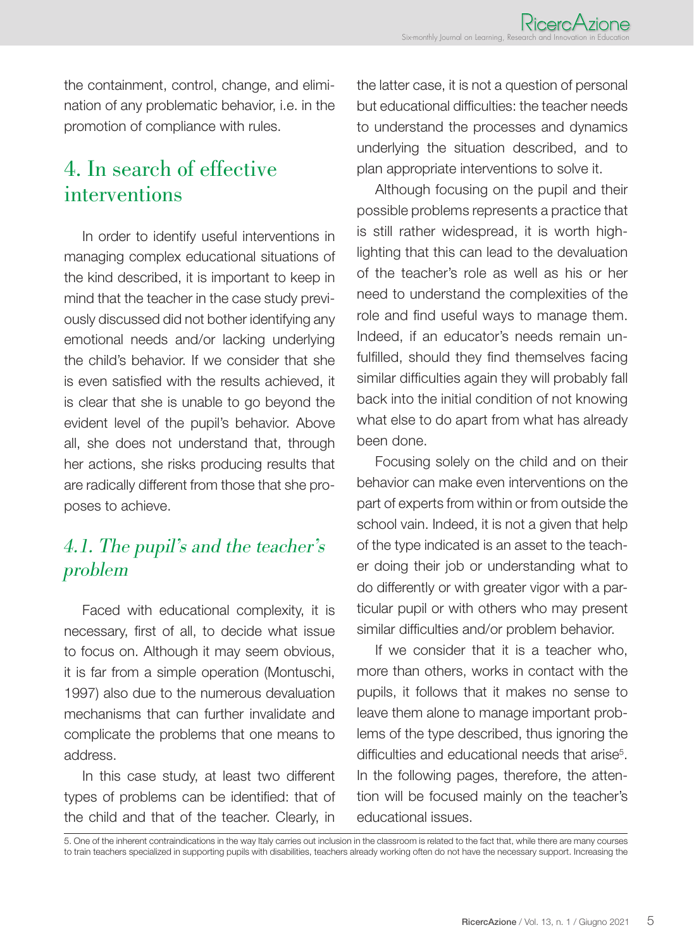the containment, control, change, and elimination of any problematic behavior, i.e. in the promotion of compliance with rules.

### 4. In search of effective interventions

In order to identify useful interventions in managing complex educational situations of the kind described, it is important to keep in mind that the teacher in the case study previously discussed did not bother identifying any emotional needs and/or lacking underlying the child's behavior. If we consider that she is even satisfied with the results achieved, it is clear that she is unable to go beyond the evident level of the pupil's behavior. Above all, she does not understand that, through her actions, she risks producing results that are radically different from those that she proposes to achieve.

#### 4.1. The pupil's and the teacher's problem

Faced with educational complexity, it is necessary, first of all, to decide what issue to focus on. Although it may seem obvious, it is far from a simple operation (Montuschi, 1997) also due to the numerous devaluation mechanisms that can further invalidate and complicate the problems that one means to address.

In this case study, at least two different types of problems can be identified: that of the child and that of the teacher. Clearly, in

the latter case, it is not a question of personal but educational difficulties: the teacher needs to understand the processes and dynamics underlying the situation described, and to plan appropriate interventions to solve it.

Although focusing on the pupil and their possible problems represents a practice that is still rather widespread, it is worth highlighting that this can lead to the devaluation of the teacher's role as well as his or her need to understand the complexities of the role and find useful ways to manage them. Indeed, if an educator's needs remain unfulfilled, should they find themselves facing similar difficulties again they will probably fall back into the initial condition of not knowing what else to do apart from what has already been done.

Focusing solely on the child and on their behavior can make even interventions on the part of experts from within or from outside the school vain. Indeed, it is not a given that help of the type indicated is an asset to the teacher doing their job or understanding what to do differently or with greater vigor with a particular pupil or with others who may present similar difficulties and/or problem behavior.

If we consider that it is a teacher who, more than others, works in contact with the pupils, it follows that it makes no sense to leave them alone to manage important problems of the type described, thus ignoring the difficulties and educational needs that arise<sup>5</sup>. In the following pages, therefore, the attention will be focused mainly on the teacher's educational issues.

5. One of the inherent contraindications in the way Italy carries out inclusion in the classroom is related to the fact that, while there are many courses to train teachers specialized in supporting pupils with disabilities, teachers already working often do not have the necessary support. Increasing the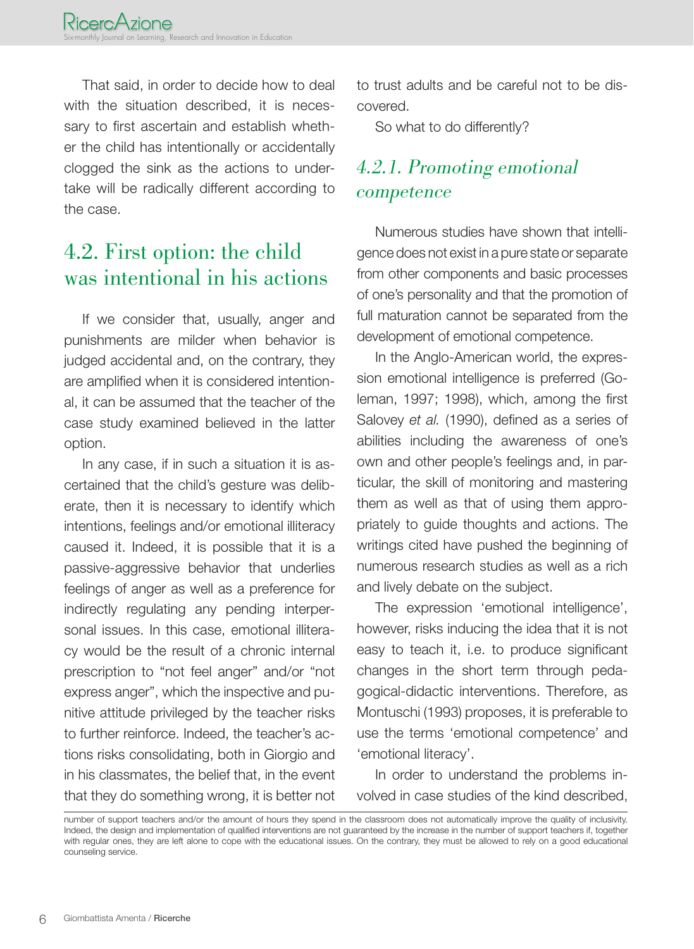That said, in order to decide how to deal with the situation described, it is necessary to first ascertain and establish whether the child has intentionally or accidentally clogged the sink as the actions to undertake will be radically different according to the case.

### 4.2. First option: the child was intentional in his actions

If we consider that, usually, anger and punishments are milder when behavior is judged accidental and, on the contrary, they are amplified when it is considered intentional, it can be assumed that the teacher of the case study examined believed in the latter option.

In any case, if in such a situation it is ascertained that the child's gesture was deliberate, then it is necessary to identify which intentions, feelings and/or emotional illiteracy caused it. Indeed, it is possible that it is a passive-aggressive behavior that underlies feelings of anger as well as a preference for indirectly regulating any pending interpersonal issues. In this case, emotional illiteracy would be the result of a chronic internal prescription to "not feel anger" and/or "not express anger", which the inspective and punitive attitude privileged by the teacher risks to further reinforce. Indeed, the teacher's actions risks consolidating, both in Giorgio and in his classmates, the belief that, in the event that they do something wrong, it is better not

to trust adults and be careful not to be discovered.

So what to do differently?

### 4.2.1. Promoting emotional competence

Numerous studies have shown that intelligence does not exist in a pure state or separate from other components and basic processes of one's personality and that the promotion of full maturation cannot be separated from the development of emotional competence.

In the Anglo-American world, the expression emotional intelligence is preferred (Goleman, 1997; 1998), which, among the first Salovey *et al.* (1990), defined as a series of abilities including the awareness of one's own and other people's feelings and, in particular, the skill of monitoring and mastering them as well as that of using them appropriately to guide thoughts and actions. The writings cited have pushed the beginning of numerous research studies as well as a rich and lively debate on the subject.

The expression 'emotional intelligence', however, risks inducing the idea that it is not easy to teach it, i.e. to produce significant changes in the short term through pedagogical-didactic interventions. Therefore, as Montuschi (1993) proposes, it is preferable to use the terms 'emotional competence' and 'emotional literacy'.

In order to understand the problems involved in case studies of the kind described,

number of support teachers and/or the amount of hours they spend in the classroom does not automatically improve the quality of inclusivity. Indeed, the design and implementation of qualified interventions are not guaranteed by the increase in the number of support teachers if, together with regular ones, they are left alone to cope with the educational issues. On the contrary, they must be allowed to rely on a good educational counseling service.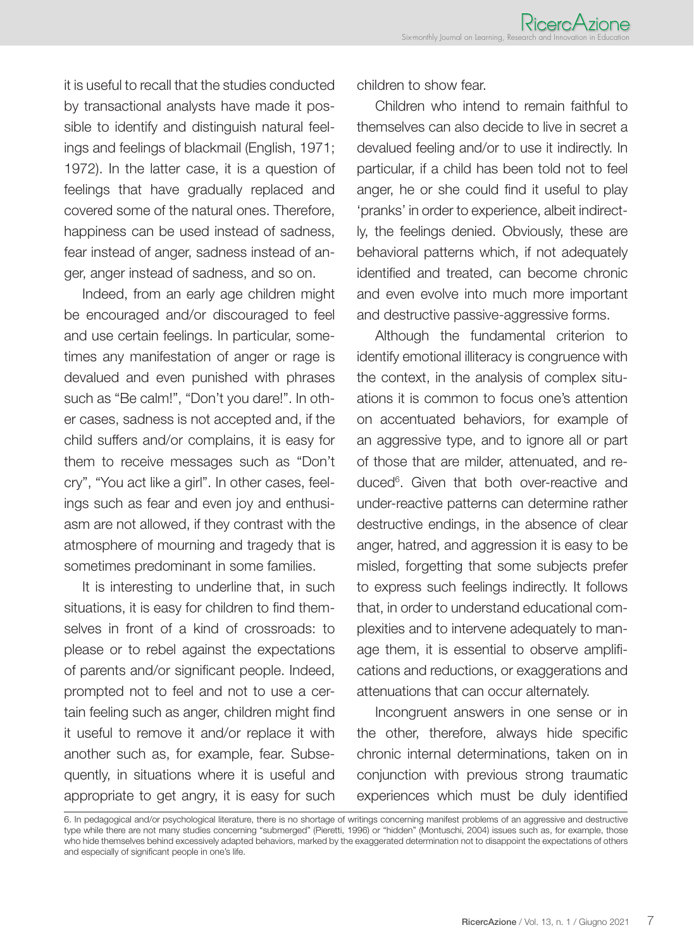it is useful to recall that the studies conducted by transactional analysts have made it possible to identify and distinguish natural feelings and feelings of blackmail (English, 1971; 1972). In the latter case, it is a question of feelings that have gradually replaced and covered some of the natural ones. Therefore, happiness can be used instead of sadness, fear instead of anger, sadness instead of anger, anger instead of sadness, and so on.

Indeed, from an early age children might be encouraged and/or discouraged to feel and use certain feelings. In particular, sometimes any manifestation of anger or rage is devalued and even punished with phrases such as "Be calm!", "Don't you dare!". In other cases, sadness is not accepted and, if the child suffers and/or complains, it is easy for them to receive messages such as "Don't cry", "You act like a girl". In other cases, feelings such as fear and even joy and enthusiasm are not allowed, if they contrast with the atmosphere of mourning and tragedy that is sometimes predominant in some families.

It is interesting to underline that, in such situations, it is easy for children to find themselves in front of a kind of crossroads: to please or to rebel against the expectations of parents and/or significant people. Indeed, prompted not to feel and not to use a certain feeling such as anger, children might find it useful to remove it and/or replace it with another such as, for example, fear. Subsequently, in situations where it is useful and appropriate to get angry, it is easy for such

children to show fear.

Children who intend to remain faithful to themselves can also decide to live in secret a devalued feeling and/or to use it indirectly. In particular, if a child has been told not to feel anger, he or she could find it useful to play 'pranks' in order to experience, albeit indirectly, the feelings denied. Obviously, these are behavioral patterns which, if not adequately identified and treated, can become chronic and even evolve into much more important and destructive passive-aggressive forms.

Although the fundamental criterion to identify emotional illiteracy is congruence with the context, in the analysis of complex situations it is common to focus one's attention on accentuated behaviors, for example of an aggressive type, and to ignore all or part of those that are milder, attenuated, and reduced6 . Given that both over-reactive and under-reactive patterns can determine rather destructive endings, in the absence of clear anger, hatred, and aggression it is easy to be misled, forgetting that some subjects prefer to express such feelings indirectly. It follows that, in order to understand educational complexities and to intervene adequately to manage them, it is essential to observe amplifications and reductions, or exaggerations and attenuations that can occur alternately.

Incongruent answers in one sense or in the other, therefore, always hide specific chronic internal determinations, taken on in conjunction with previous strong traumatic experiences which must be duly identified

6. In pedagogical and/or psychological literature, there is no shortage of writings concerning manifest problems of an aggressive and destructive type while there are not many studies concerning "submerged" (Pieretti, 1996) or "hidden" (Montuschi, 2004) issues such as, for example, those who hide themselves behind excessively adapted behaviors, marked by the exaggerated determination not to disappoint the expectations of others and especially of significant people in one's life.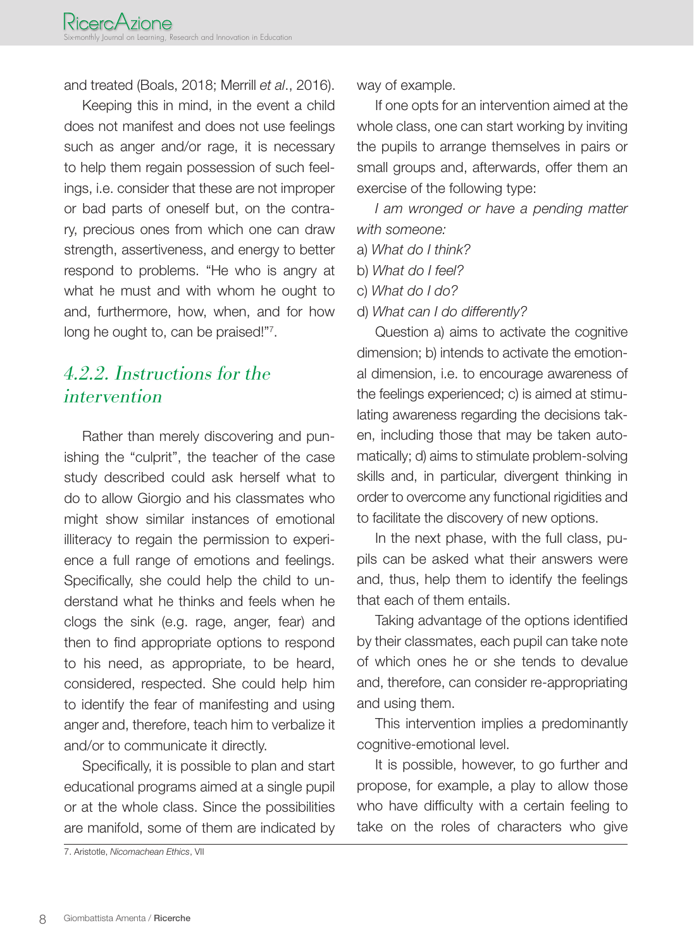and treated (Boals, 2018; Merrill *et al*., 2016).

Keeping this in mind, in the event a child does not manifest and does not use feelings such as anger and/or rage, it is necessary to help them regain possession of such feelings, i.e. consider that these are not improper or bad parts of oneself but, on the contrary, precious ones from which one can draw strength, assertiveness, and energy to better respond to problems. "He who is angry at what he must and with whom he ought to and, furthermore, how, when, and for how long he ought to, can be praised!"7.

#### 4.2.2. Instructions for the intervention

Rather than merely discovering and punishing the "culprit", the teacher of the case study described could ask herself what to do to allow Giorgio and his classmates who might show similar instances of emotional illiteracy to regain the permission to experience a full range of emotions and feelings. Specifically, she could help the child to understand what he thinks and feels when he clogs the sink (e.g. rage, anger, fear) and then to find appropriate options to respond to his need, as appropriate, to be heard, considered, respected. She could help him to identify the fear of manifesting and using anger and, therefore, teach him to verbalize it and/or to communicate it directly.

Specifically, it is possible to plan and start educational programs aimed at a single pupil or at the whole class. Since the possibilities are manifold, some of them are indicated by way of example.

If one opts for an intervention aimed at the whole class, one can start working by inviting the pupils to arrange themselves in pairs or small groups and, afterwards, offer them an exercise of the following type:

*I am wronged or have a pending matter with someone:*

- a) *What do I think?*
- b) *What do I feel?*
- c) *What do I do?*
- d) *What can I do differently?*

Question a) aims to activate the cognitive dimension; b) intends to activate the emotional dimension, i.e. to encourage awareness of the feelings experienced; c) is aimed at stimulating awareness regarding the decisions taken, including those that may be taken automatically; d) aims to stimulate problem-solving skills and, in particular, divergent thinking in order to overcome any functional rigidities and to facilitate the discovery of new options.

In the next phase, with the full class, pupils can be asked what their answers were and, thus, help them to identify the feelings that each of them entails.

Taking advantage of the options identified by their classmates, each pupil can take note of which ones he or she tends to devalue and, therefore, can consider re-appropriating and using them.

This intervention implies a predominantly cognitive-emotional level.

It is possible, however, to go further and propose, for example, a play to allow those who have difficulty with a certain feeling to take on the roles of characters who give

<sup>7.</sup> Aristotle, *Nicomachean Ethics*, VII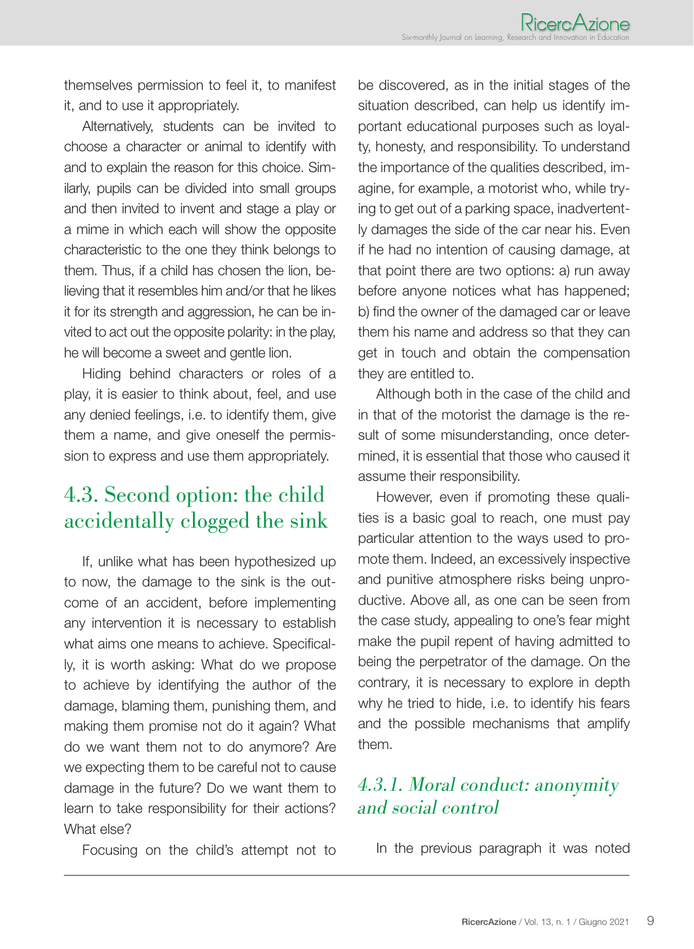themselves permission to feel it, to manifest it, and to use it appropriately.

Alternatively, students can be invited to choose a character or animal to identify with and to explain the reason for this choice. Similarly, pupils can be divided into small groups and then invited to invent and stage a play or a mime in which each will show the opposite characteristic to the one they think belongs to them. Thus, if a child has chosen the lion, believing that it resembles him and/or that he likes it for its strength and aggression, he can be invited to act out the opposite polarity: in the play, he will become a sweet and gentle lion.

Hiding behind characters or roles of a play, it is easier to think about, feel, and use any denied feelings, i.e. to identify them, give them a name, and give oneself the permission to express and use them appropriately.

### 4.3. Second option: the child accidentally clogged the sink

If, unlike what has been hypothesized up to now, the damage to the sink is the outcome of an accident, before implementing any intervention it is necessary to establish what aims one means to achieve. Specifically, it is worth asking: What do we propose to achieve by identifying the author of the damage, blaming them, punishing them, and making them promise not do it again? What do we want them not to do anymore? Are we expecting them to be careful not to cause damage in the future? Do we want them to learn to take responsibility for their actions? What else?

Focusing on the child's attempt not to

be discovered, as in the initial stages of the situation described, can help us identify important educational purposes such as loyalty, honesty, and responsibility. To understand the importance of the qualities described, imagine, for example, a motorist who, while trying to get out of a parking space, inadvertently damages the side of the car near his. Even if he had no intention of causing damage, at that point there are two options: a) run away before anyone notices what has happened; b) find the owner of the damaged car or leave them his name and address so that they can get in touch and obtain the compensation they are entitled to.

Although both in the case of the child and in that of the motorist the damage is the result of some misunderstanding, once determined, it is essential that those who caused it assume their responsibility.

However, even if promoting these qualities is a basic goal to reach, one must pay particular attention to the ways used to promote them. Indeed, an excessively inspective and punitive atmosphere risks being unproductive. Above all, as one can be seen from the case study, appealing to one's fear might make the pupil repent of having admitted to being the perpetrator of the damage. On the contrary, it is necessary to explore in depth why he tried to hide, i.e. to identify his fears and the possible mechanisms that amplify them.

#### 4.3.1. Moral conduct: anonymity and social control

In the previous paragraph it was noted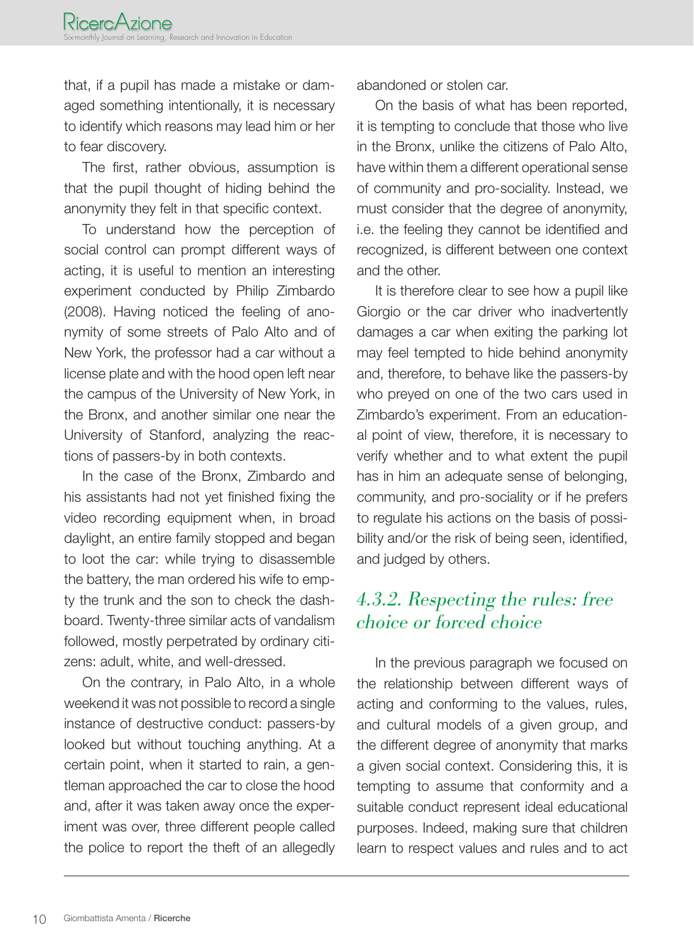that, if a pupil has made a mistake or damaged something intentionally, it is necessary to identify which reasons may lead him or her to fear discovery.

The first, rather obvious, assumption is that the pupil thought of hiding behind the anonymity they felt in that specific context.

To understand how the perception of social control can prompt different ways of acting, it is useful to mention an interesting experiment conducted by Philip Zimbardo (2008). Having noticed the feeling of anonymity of some streets of Palo Alto and of New York, the professor had a car without a license plate and with the hood open left near the campus of the University of New York, in the Bronx, and another similar one near the University of Stanford, analyzing the reactions of passers-by in both contexts.

In the case of the Bronx, Zimbardo and his assistants had not yet finished fixing the video recording equipment when, in broad daylight, an entire family stopped and began to loot the car: while trying to disassemble the battery, the man ordered his wife to empty the trunk and the son to check the dashboard. Twenty-three similar acts of vandalism followed, mostly perpetrated by ordinary citizens: adult, white, and well-dressed.

On the contrary, in Palo Alto, in a whole weekend it was not possible to record a single instance of destructive conduct: passers-by looked but without touching anything. At a certain point, when it started to rain, a gentleman approached the car to close the hood and, after it was taken away once the experiment was over, three different people called the police to report the theft of an allegedly abandoned or stolen car.

On the basis of what has been reported, it is tempting to conclude that those who live in the Bronx, unlike the citizens of Palo Alto, have within them a different operational sense of community and pro-sociality. Instead, we must consider that the degree of anonymity, i.e. the feeling they cannot be identified and recognized, is different between one context and the other.

It is therefore clear to see how a pupil like Giorgio or the car driver who inadvertently damages a car when exiting the parking lot may feel tempted to hide behind anonymity and, therefore, to behave like the passers-by who preyed on one of the two cars used in Zimbardo's experiment. From an educational point of view, therefore, it is necessary to verify whether and to what extent the pupil has in him an adequate sense of belonging, community, and pro-sociality or if he prefers to regulate his actions on the basis of possibility and/or the risk of being seen, identified, and judged by others.

#### 4.3.2. Respecting the rules: free choice or forced choice

In the previous paragraph we focused on the relationship between different ways of acting and conforming to the values, rules, and cultural models of a given group, and the different degree of anonymity that marks a given social context. Considering this, it is tempting to assume that conformity and a suitable conduct represent ideal educational purposes. Indeed, making sure that children learn to respect values and rules and to act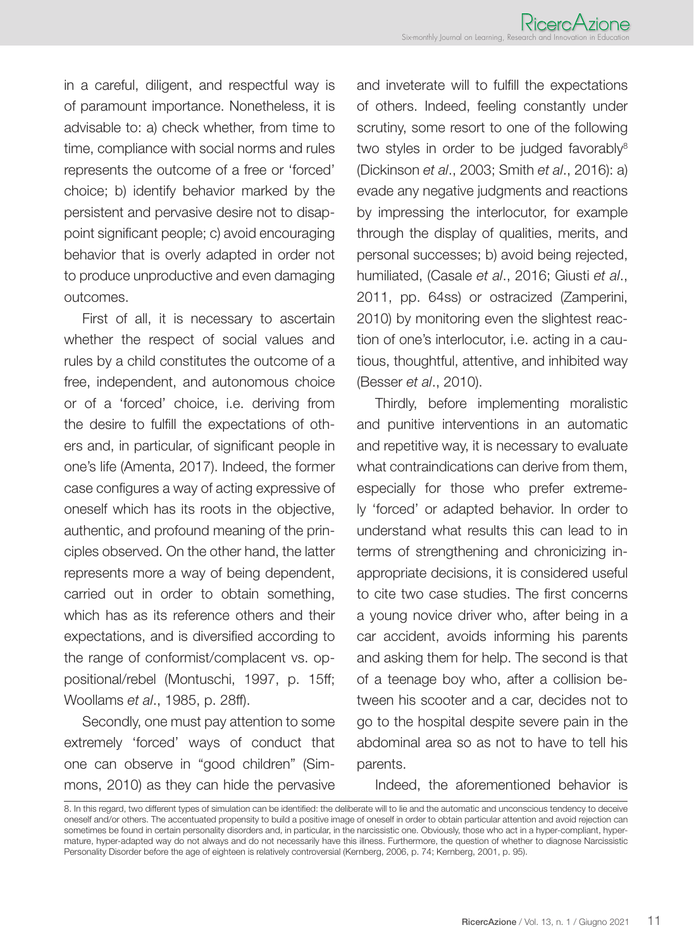in a careful, diligent, and respectful way is of paramount importance. Nonetheless, it is advisable to: a) check whether, from time to time, compliance with social norms and rules represents the outcome of a free or 'forced' choice; b) identify behavior marked by the persistent and pervasive desire not to disappoint significant people; c) avoid encouraging behavior that is overly adapted in order not to produce unproductive and even damaging outcomes.

First of all, it is necessary to ascertain whether the respect of social values and rules by a child constitutes the outcome of a free, independent, and autonomous choice or of a 'forced' choice, i.e. deriving from the desire to fulfill the expectations of others and, in particular, of significant people in one's life (Amenta, 2017). Indeed, the former case configures a way of acting expressive of oneself which has its roots in the objective, authentic, and profound meaning of the principles observed. On the other hand, the latter represents more a way of being dependent, carried out in order to obtain something, which has as its reference others and their expectations, and is diversified according to the range of conformist/complacent vs. oppositional/rebel (Montuschi, 1997, p. 15ff; Woollams *et al*., 1985, p. 28ff).

Secondly, one must pay attention to some extremely 'forced' ways of conduct that one can observe in "good children" (Simmons, 2010) as they can hide the pervasive

and inveterate will to fulfill the expectations of others. Indeed, feeling constantly under scrutiny, some resort to one of the following two styles in order to be judged favorably<sup>8</sup> (Dickinson *et al*., 2003; Smith *et al*., 2016): a) evade any negative judgments and reactions by impressing the interlocutor, for example through the display of qualities, merits, and personal successes; b) avoid being rejected, humiliated, (Casale *et al*., 2016; Giusti *et al*., 2011, pp. 64ss) or ostracized (Zamperini, 2010) by monitoring even the slightest reaction of one's interlocutor, i.e. acting in a cautious, thoughtful, attentive, and inhibited way (Besser *et al*., 2010).

Thirdly, before implementing moralistic and punitive interventions in an automatic and repetitive way, it is necessary to evaluate what contraindications can derive from them, especially for those who prefer extremely 'forced' or adapted behavior. In order to understand what results this can lead to in terms of strengthening and chronicizing inappropriate decisions, it is considered useful to cite two case studies. The first concerns a young novice driver who, after being in a car accident, avoids informing his parents and asking them for help. The second is that of a teenage boy who, after a collision between his scooter and a car, decides not to go to the hospital despite severe pain in the abdominal area so as not to have to tell his parents.

Indeed, the aforementioned behavior is

<sup>8.</sup> In this regard, two different types of simulation can be identified: the deliberate will to lie and the automatic and unconscious tendency to deceive oneself and/or others. The accentuated propensity to build a positive image of oneself in order to obtain particular attention and avoid rejection can sometimes be found in certain personality disorders and, in particular, in the narcissistic one. Obviously, those who act in a hyper-compliant, hypermature, hyper-adapted way do not always and do not necessarily have this illness. Furthermore, the question of whether to diagnose Narcissistic Personality Disorder before the age of eighteen is relatively controversial (Kernberg, 2006, p. 74; Kernberg, 2001, p. 95).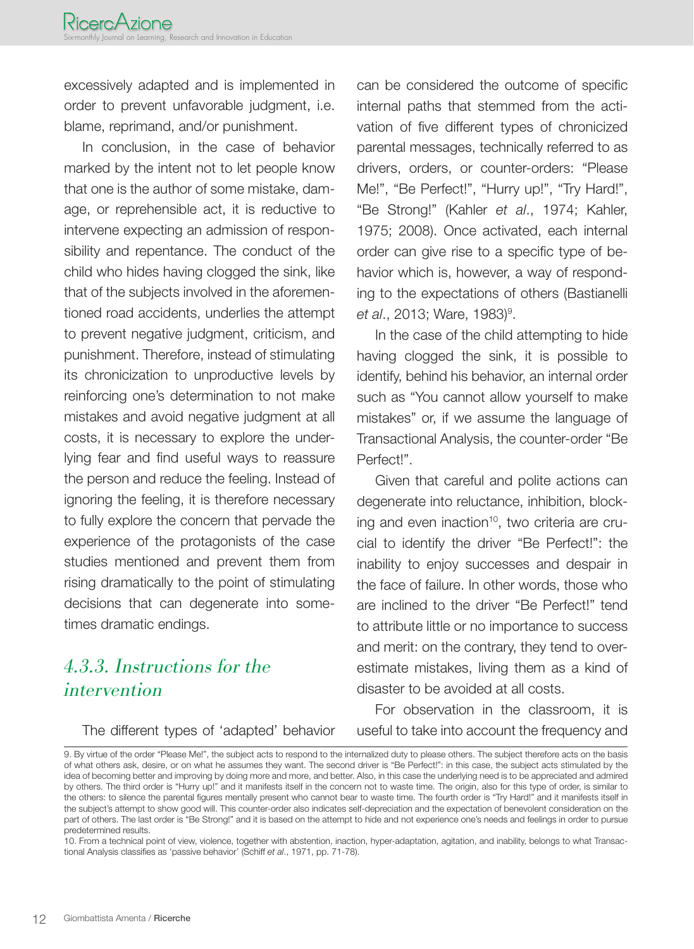excessively adapted and is implemented in order to prevent unfavorable judgment, i.e. blame, reprimand, and/or punishment.

In conclusion, in the case of behavior marked by the intent not to let people know that one is the author of some mistake, damage, or reprehensible act, it is reductive to intervene expecting an admission of responsibility and repentance. The conduct of the child who hides having clogged the sink, like that of the subjects involved in the aforementioned road accidents, underlies the attempt to prevent negative judgment, criticism, and punishment. Therefore, instead of stimulating its chronicization to unproductive levels by reinforcing one's determination to not make mistakes and avoid negative judgment at all costs, it is necessary to explore the underlying fear and find useful ways to reassure the person and reduce the feeling. Instead of ignoring the feeling, it is therefore necessary to fully explore the concern that pervade the experience of the protagonists of the case studies mentioned and prevent them from rising dramatically to the point of stimulating decisions that can degenerate into sometimes dramatic endings.

#### 4.3.3. Instructions for the intervention

The different types of 'adapted' behavior

can be considered the outcome of specific internal paths that stemmed from the activation of five different types of chronicized parental messages, technically referred to as drivers, orders, or counter-orders: "Please Me!", "Be Perfect!", "Hurry up!", "Try Hard!", "Be Strong!" (Kahler *et al*., 1974; Kahler, 1975; 2008). Once activated, each internal order can give rise to a specific type of behavior which is, however, a way of responding to the expectations of others (Bastianelli *et al*., 2013; Ware, 1983)<sup>9</sup>.

In the case of the child attempting to hide having clogged the sink, it is possible to identify, behind his behavior, an internal order such as "You cannot allow yourself to make mistakes" or, if we assume the language of Transactional Analysis, the counter-order "Be Perfect!".

Given that careful and polite actions can degenerate into reluctance, inhibition, blocking and even inaction<sup>10</sup>, two criteria are crucial to identify the driver "Be Perfect!": the inability to enjoy successes and despair in the face of failure. In other words, those who are inclined to the driver "Be Perfect!" tend to attribute little or no importance to success and merit: on the contrary, they tend to overestimate mistakes, living them as a kind of disaster to be avoided at all costs.

For observation in the classroom, it is useful to take into account the frequency and

<sup>9.</sup> By virtue of the order "Please Me!", the subject acts to respond to the internalized duty to please others. The subject therefore acts on the basis of what others ask, desire, or on what he assumes they want. The second driver is "Be Perfect!": in this case, the subject acts stimulated by the idea of becoming better and improving by doing more and more, and better. Also, in this case the underlying need is to be appreciated and admired by others. The third order is "Hurry up!" and it manifests itself in the concern not to waste time. The origin, also for this type of order, is similar to the others: to silence the parental figures mentally present who cannot bear to waste time. The fourth order is "Try Hard!" and it manifests itself in the subject's attempt to show good will. This counter-order also indicates self-depreciation and the expectation of benevolent consideration on the part of others. The last order is "Be Strong!" and it is based on the attempt to hide and not experience one's needs and feelings in order to pursue predetermined results.

<sup>10.</sup> From a technical point of view, violence, together with abstention, inaction, hyper-adaptation, agitation, and inability, belongs to what Transactional Analysis classifies as 'passive behavior' (Schiff *et al*., 1971, pp. 71-78).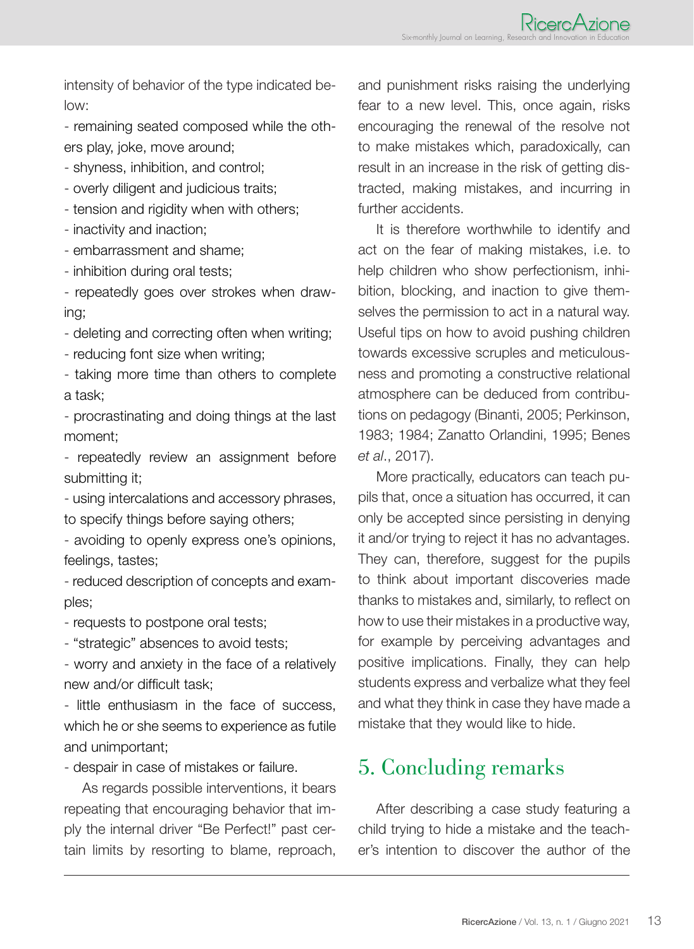intensity of behavior of the type indicated below:

- remaining seated composed while the others play, joke, move around;

- shyness, inhibition, and control;
- overly diligent and judicious traits;
- tension and rigidity when with others;
- inactivity and inaction;
- embarrassment and shame;
- inhibition during oral tests;
- repeatedly goes over strokes when drawing;
- deleting and correcting often when writing;
- reducing font size when writing;
- taking more time than others to complete a task;
- procrastinating and doing things at the last moment;
- repeatedly review an assignment before submitting it;
- using intercalations and accessory phrases, to specify things before saying others;
- avoiding to openly express one's opinions, feelings, tastes;
- reduced description of concepts and examples;
- requests to postpone oral tests;
- "strategic" absences to avoid tests;
- worry and anxiety in the face of a relatively new and/or difficult task;
- little enthusiasm in the face of success, which he or she seems to experience as futile and unimportant;
- despair in case of mistakes or failure.
- As regards possible interventions, it bears repeating that encouraging behavior that imply the internal driver "Be Perfect!" past certain limits by resorting to blame, reproach,

and punishment risks raising the underlying fear to a new level. This, once again, risks encouraging the renewal of the resolve not to make mistakes which, paradoxically, can result in an increase in the risk of getting distracted, making mistakes, and incurring in further accidents.

It is therefore worthwhile to identify and act on the fear of making mistakes, i.e. to help children who show perfectionism, inhibition, blocking, and inaction to give themselves the permission to act in a natural way. Useful tips on how to avoid pushing children towards excessive scruples and meticulousness and promoting a constructive relational atmosphere can be deduced from contributions on pedagogy (Binanti, 2005; Perkinson, 1983; 1984; Zanatto Orlandini, 1995; Benes *et al*., 2017).

More practically, educators can teach pupils that, once a situation has occurred, it can only be accepted since persisting in denying it and/or trying to reject it has no advantages. They can, therefore, suggest for the pupils to think about important discoveries made thanks to mistakes and, similarly, to reflect on how to use their mistakes in a productive way, for example by perceiving advantages and positive implications. Finally, they can help students express and verbalize what they feel and what they think in case they have made a mistake that they would like to hide.

## 5. Concluding remarks

After describing a case study featuring a child trying to hide a mistake and the teacher's intention to discover the author of the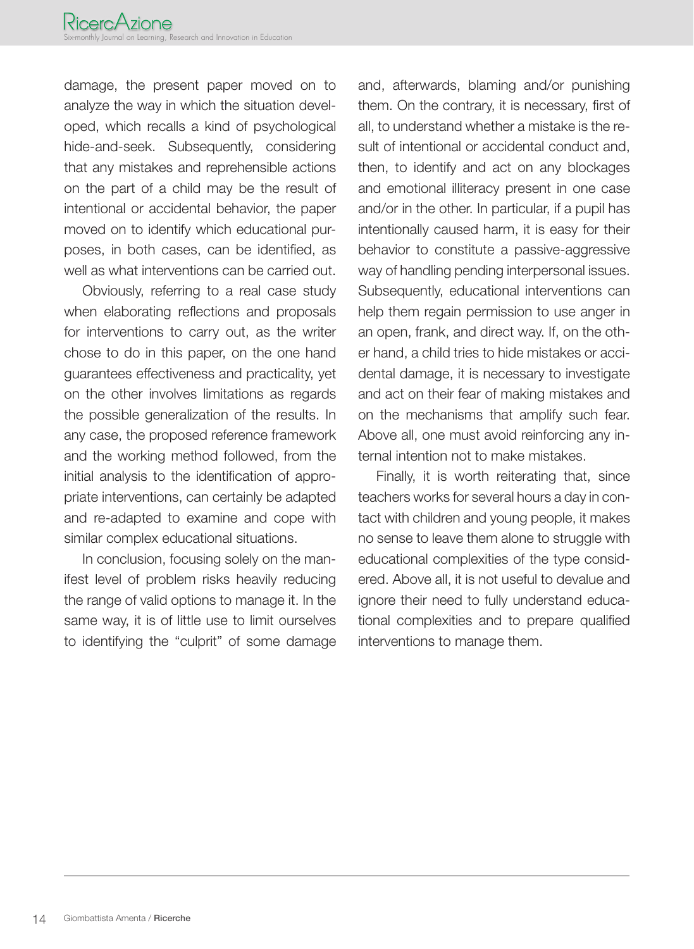damage, the present paper moved on to analyze the way in which the situation developed, which recalls a kind of psychological hide-and-seek. Subsequently, considering that any mistakes and reprehensible actions on the part of a child may be the result of intentional or accidental behavior, the paper moved on to identify which educational purposes, in both cases, can be identified, as well as what interventions can be carried out.

Obviously, referring to a real case study when elaborating reflections and proposals for interventions to carry out, as the writer chose to do in this paper, on the one hand guarantees effectiveness and practicality, yet on the other involves limitations as regards the possible generalization of the results. In any case, the proposed reference framework and the working method followed, from the initial analysis to the identification of appropriate interventions, can certainly be adapted and re-adapted to examine and cope with similar complex educational situations.

In conclusion, focusing solely on the manifest level of problem risks heavily reducing the range of valid options to manage it. In the same way, it is of little use to limit ourselves to identifying the "culprit" of some damage

and, afterwards, blaming and/or punishing them. On the contrary, it is necessary, first of all, to understand whether a mistake is the result of intentional or accidental conduct and, then, to identify and act on any blockages and emotional illiteracy present in one case and/or in the other. In particular, if a pupil has intentionally caused harm, it is easy for their behavior to constitute a passive-aggressive way of handling pending interpersonal issues. Subsequently, educational interventions can help them regain permission to use anger in an open, frank, and direct way. If, on the other hand, a child tries to hide mistakes or accidental damage, it is necessary to investigate and act on their fear of making mistakes and on the mechanisms that amplify such fear. Above all, one must avoid reinforcing any internal intention not to make mistakes.

Finally, it is worth reiterating that, since teachers works for several hours a day in contact with children and young people, it makes no sense to leave them alone to struggle with educational complexities of the type considered. Above all, it is not useful to devalue and ignore their need to fully understand educational complexities and to prepare qualified interventions to manage them.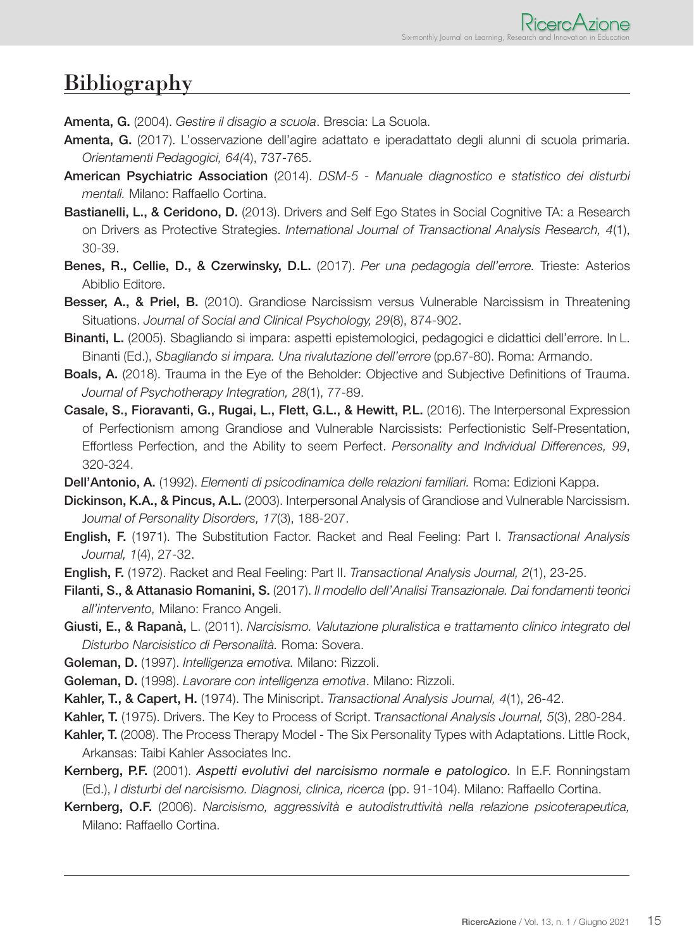### Bibliography

Amenta, G. (2004). *Gestire il disagio a scuola*. Brescia: La Scuola.

- Amenta, G. (2017). L'osservazione dell'agire adattato e iperadattato degli alunni di scuola primaria. *Orientamenti Pedagogici, 64(*4), 737-765.
- American Psychiatric Association (2014). *DSM-5 Manuale diagnostico e statistico dei disturbi mentali.* Milano: Raffaello Cortina.
- Bastianelli, L., & Ceridono, D. (2013). Drivers and Self Ego States in Social Cognitive TA: a Research on Drivers as Protective Strategies. *International Journal of Transactional Analysis Research, 4*(1), 30-39.
- Benes, R., Cellie, D., & Czerwinsky, D.L. (2017). *Per una pedagogia dell'errore.* Trieste: Asterios Abiblio Editore.
- Besser, A., & Priel, B. (2010). Grandiose Narcissism versus Vulnerable Narcissism in Threatening Situations. *Journal of Social and Clinical Psychology, 29*(8), 874-902.
- Binanti, L. (2005). Sbagliando si impara: aspetti epistemologici, pedagogici e didattici dell'errore. In L. Binanti (Ed.), *Sbagliando si impara. Una rivalutazione dell'errore* (pp.67-80). Roma: Armando.
- Boals, A. (2018). Trauma in the Eye of the Beholder: Objective and Subjective Definitions of Trauma. *Journal of Psychotherapy Integration, 28*(1), 77-89.
- Casale, S., Fioravanti, G., Rugai, L., Flett, G.L., & Hewitt, P.L. (2016). The Interpersonal Expression of Perfectionism among Grandiose and Vulnerable Narcissists: Perfectionistic Self-Presentation, Effortless Perfection, and the Ability to seem Perfect. *Personality and Individual Differences, 99*, 320-324.
- Dell'Antonio, A. (1992). *Elementi di psicodinamica delle relazioni familiari.* Roma: Edizioni Kappa.
- Dickinson, K.A., & Pincus, A.L. (2003). Interpersonal Analysis of Grandiose and Vulnerable Narcissism. J*ournal of Personality Disorders, 17*(3), 188-207.
- English, F. (1971). The Substitution Factor. Racket and Real Feeling: Part I. *Transactional Analysis Journal, 1*(4), 27-32.
- English, F. (1972). Racket and Real Feeling: Part II. *Transactional Analysis Journal, 2*(1), 23-25.
- Filanti, S., & Attanasio Romanini, S. (2017). *Il modello dell'Analisi Transazionale. Dai fondamenti teorici all'intervento,* Milano: Franco Angeli.
- Giusti, E., & Rapanà, L. (2011). *Narcisismo. Valutazione pluralistica e trattamento clinico integrato del Disturbo Narcisistico di Personalità.* Roma: Sovera.
- Goleman, D. (1997). *Intelligenza emotiva.* Milano: Rizzoli.
- Goleman, D. (1998). *Lavorare con intelligenza emotiva*. Milano: Rizzoli.
- Kahler, T., & Capert, H. (1974). The Miniscript. *Transactional Analysis Journal, 4*(1), 26-42.
- Kahler, T. (1975). Drivers. The Key to Process of Script. T*ransactional Analysis Journal, 5*(3), 280-284.
- Kahler, T. (2008). The Process Therapy Model The Six Personality Types with Adaptations. Little Rock, Arkansas: Taibi Kahler Associates Inc.
- Kernberg, P.F. (2001). *Aspetti evolutivi del narcisismo normale e patologico.* In E.F. Ronningstam (Ed.), *I disturbi del narcisismo. Diagnosi, clinica, ricerca* (pp. 91-104). Milano: Raffaello Cortina.
- Kernberg, O.F. (2006). *Narcisismo, aggressività e autodistruttività nella relazione psicoterapeutica,* Milano: Raffaello Cortina.